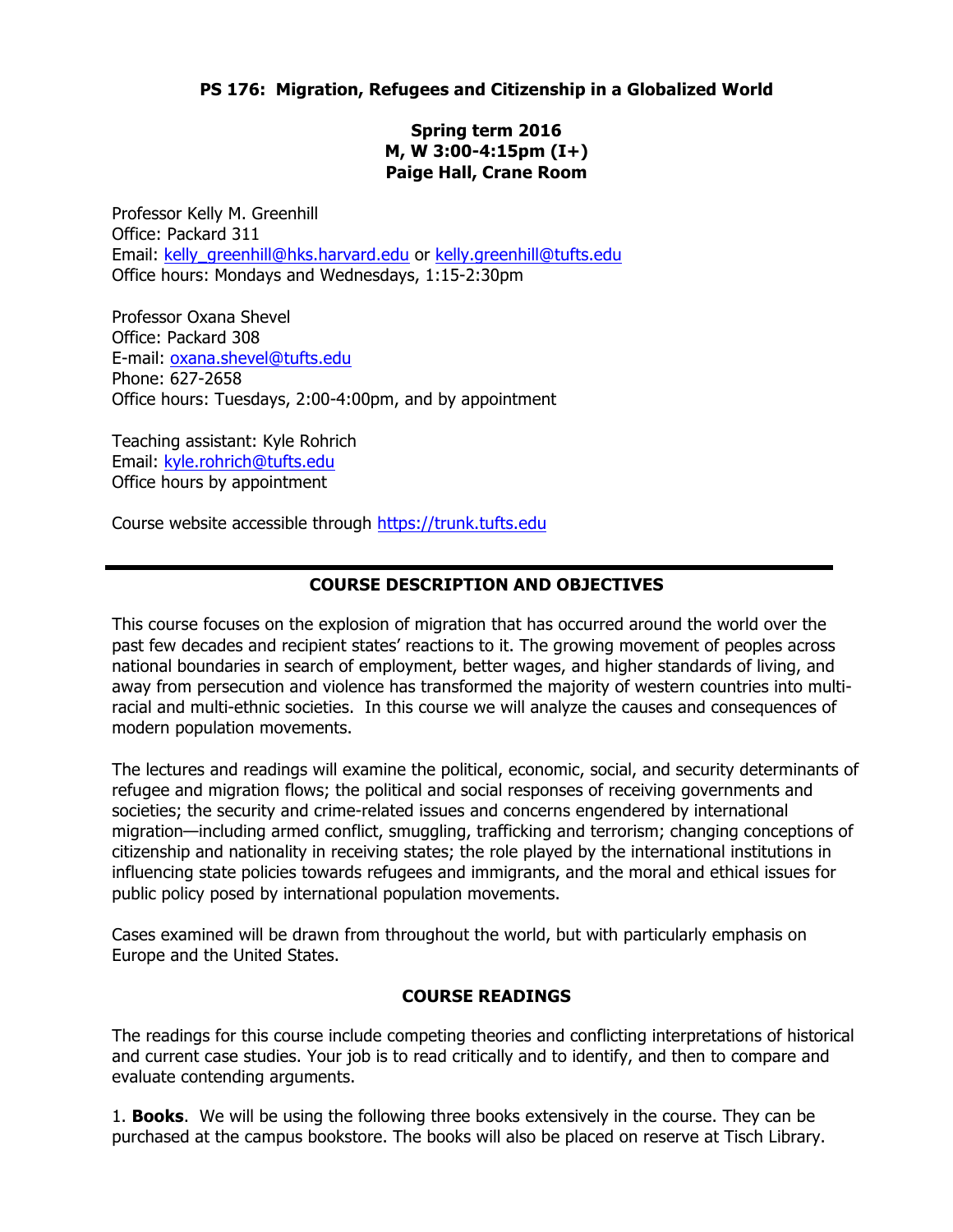**Spring term 2016 M, W 3:00-4:15pm (I+) Paige Hall, Crane Room**

Professor Kelly M. Greenhill Office: Packard 311 Email: kelly\_greenhill@hks.harvard.edu or kelly.greenhill@tufts.edu Office hours: Mondays and Wednesdays, 1:15-2:30pm

Professor Oxana Shevel Office: Packard 308 E-mail: oxana.shevel@tufts.edu Phone: 627-2658 Office hours: Tuesdays, 2:00-4:00pm, and by appointment

Teaching assistant: Kyle Rohrich Email: kyle.rohrich@tufts.edu Office hours by appointment

Course website accessible through https://trunk.tufts.edu

# **COURSE DESCRIPTION AND OBJECTIVES**

This course focuses on the explosion of migration that has occurred around the world over the past few decades and recipient states' reactions to it. The growing movement of peoples across national boundaries in search of employment, better wages, and higher standards of living, and away from persecution and violence has transformed the majority of western countries into multiracial and multi-ethnic societies. In this course we will analyze the causes and consequences of modern population movements.

The lectures and readings will examine the political, economic, social, and security determinants of refugee and migration flows; the political and social responses of receiving governments and societies; the security and crime-related issues and concerns engendered by international migration—including armed conflict, smuggling, trafficking and terrorism; changing conceptions of citizenship and nationality in receiving states; the role played by the international institutions in influencing state policies towards refugees and immigrants, and the moral and ethical issues for public policy posed by international population movements.

Cases examined will be drawn from throughout the world, but with particularly emphasis on Europe and the United States.

## **COURSE READINGS**

The readings for this course include competing theories and conflicting interpretations of historical and current case studies. Your job is to read critically and to identify, and then to compare and evaluate contending arguments.

1. **Books**. We will be using the following three books extensively in the course. They can be purchased at the campus bookstore. The books will also be placed on reserve at Tisch Library.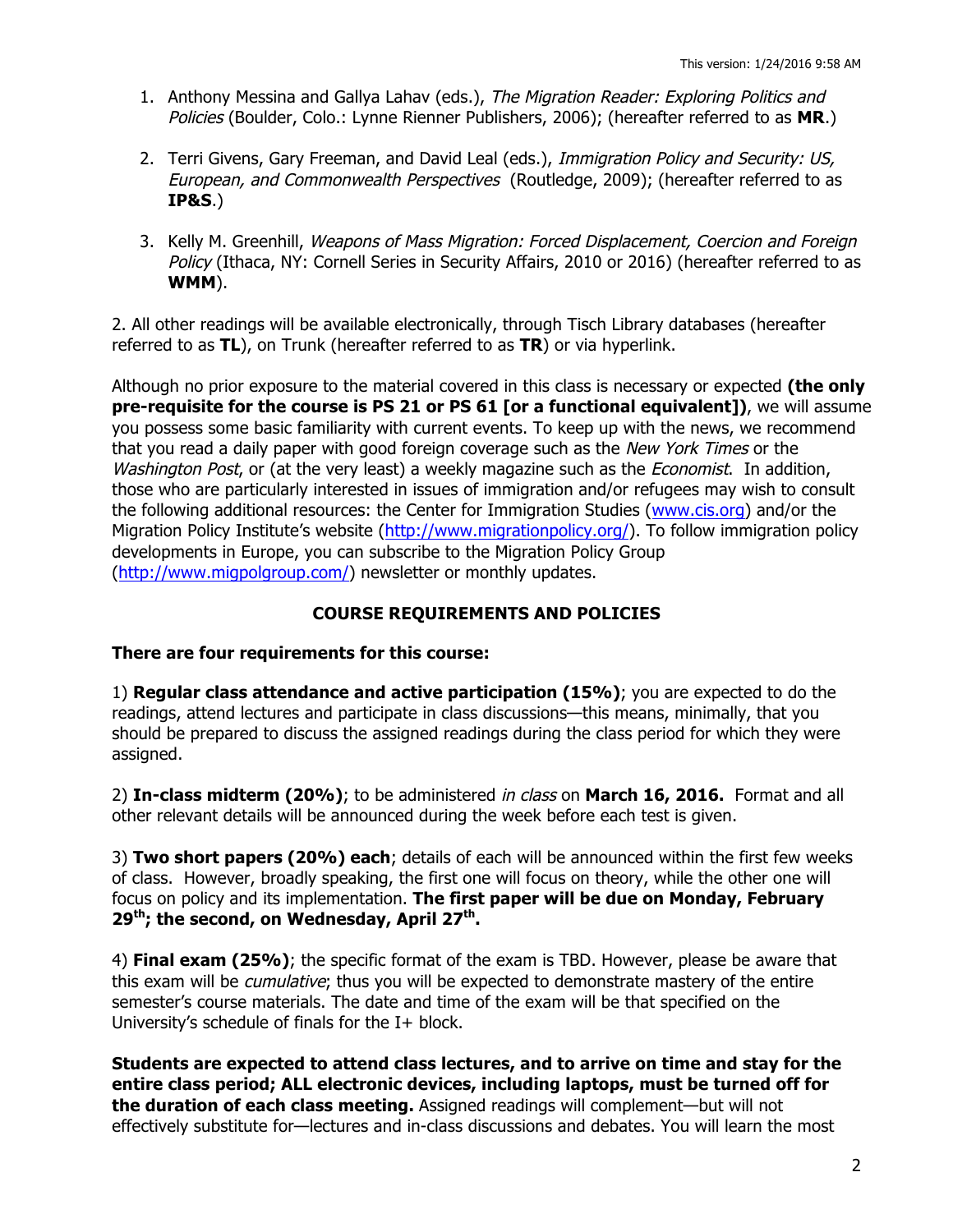- 1. Anthony Messina and Gallya Lahav (eds.), The Migration Reader: Exploring Politics and Policies (Boulder, Colo.: Lynne Rienner Publishers, 2006); (hereafter referred to as **MR**.)
- 2. Terri Givens, Gary Freeman, and David Leal (eds.), Immigration Policy and Security: US, European, and Commonwealth Perspectives (Routledge, 2009); (hereafter referred to as **IP&S**.)
- 3. Kelly M. Greenhill, Weapons of Mass Migration: Forced Displacement, Coercion and Foreign Policy (Ithaca, NY: Cornell Series in Security Affairs, 2010 or 2016) (hereafter referred to as **WMM**).

2. All other readings will be available electronically, through Tisch Library databases (hereafter referred to as **TL**), on Trunk (hereafter referred to as **TR**) or via hyperlink.

Although no prior exposure to the material covered in this class is necessary or expected **(the only pre-requisite for the course is PS 21 or PS 61 [or a functional equivalent])**, we will assume you possess some basic familiarity with current events. To keep up with the news, we recommend that you read a daily paper with good foreign coverage such as the New York Times or the Washington Post, or (at the very least) a weekly magazine such as the *Economist*. In addition, those who are particularly interested in issues of immigration and/or refugees may wish to consult the following additional resources: the Center for Immigration Studies (www.cis.org) and/or the Migration Policy Institute's website (http://www.migrationpolicy.org/). To follow immigration policy developments in Europe, you can subscribe to the Migration Policy Group (http://www.migpolgroup.com/) newsletter or monthly updates.

## **COURSE REQUIREMENTS AND POLICIES**

### **There are four requirements for this course:**

1) **Regular class attendance and active participation (15%)**; you are expected to do the readings, attend lectures and participate in class discussions—this means, minimally, that you should be prepared to discuss the assigned readings during the class period for which they were assigned.

2) **In-class midterm (20%)**; to be administered in class on **March 16, 2016.** Format and all other relevant details will be announced during the week before each test is given.

3) **Two short papers (20%) each**; details of each will be announced within the first few weeks of class. However, broadly speaking, the first one will focus on theory, while the other one will focus on policy and its implementation. **The first paper will be due on Monday, February**  29<sup>th</sup>; the second, on Wednesday, April 27<sup>th</sup>.

4) **Final exam (25%)**; the specific format of the exam is TBD. However, please be aware that this exam will be *cumulative*; thus you will be expected to demonstrate mastery of the entire semester's course materials. The date and time of the exam will be that specified on the University's schedule of finals for the I+ block.

**Students are expected to attend class lectures, and to arrive on time and stay for the entire class period; ALL electronic devices, including laptops, must be turned off for the duration of each class meeting.** Assigned readings will complement—but will not effectively substitute for—lectures and in-class discussions and debates. You will learn the most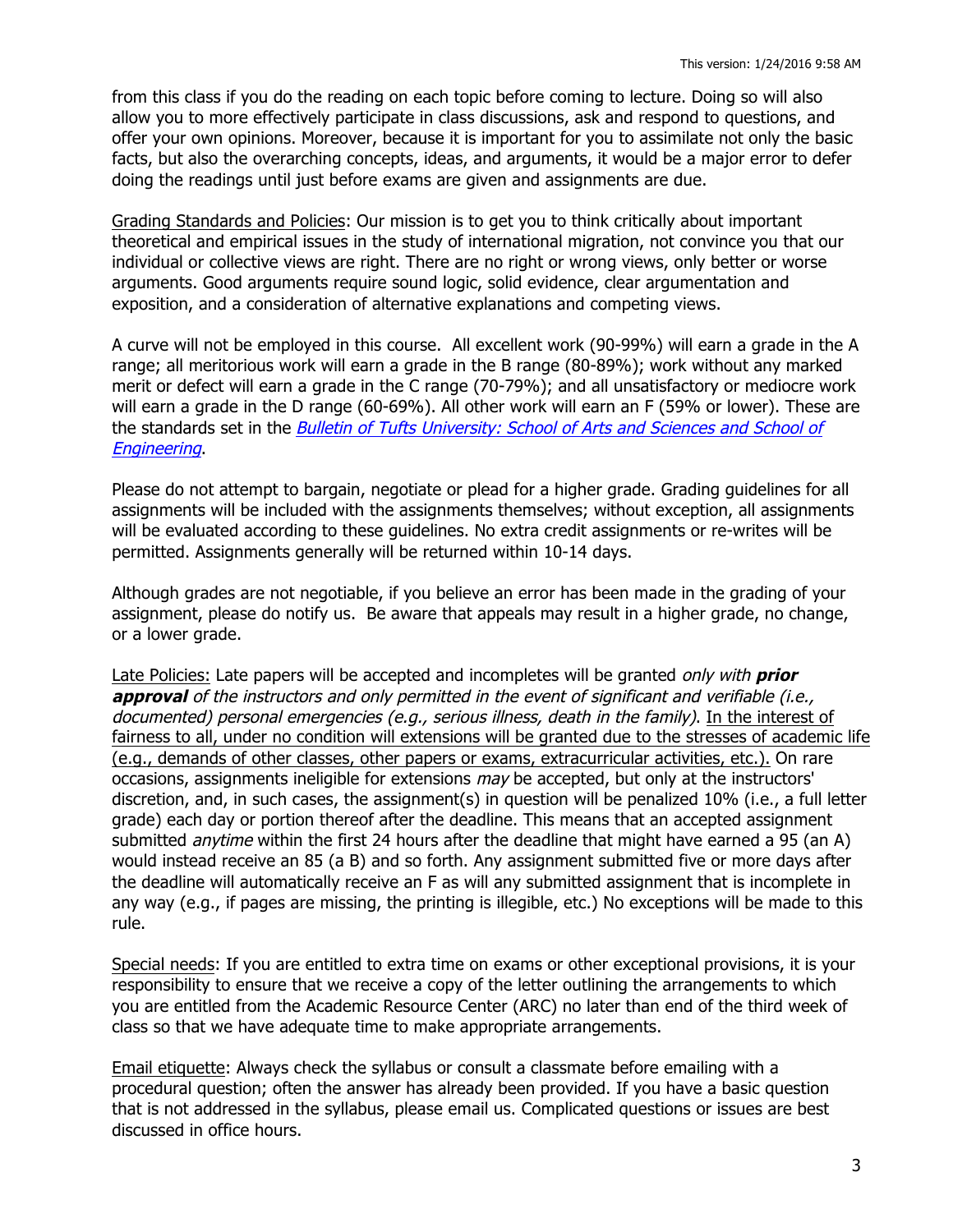from this class if you do the reading on each topic before coming to lecture. Doing so will also allow you to more effectively participate in class discussions, ask and respond to questions, and offer your own opinions. Moreover, because it is important for you to assimilate not only the basic facts, but also the overarching concepts, ideas, and arguments, it would be a major error to defer doing the readings until just before exams are given and assignments are due.

Grading Standards and Policies: Our mission is to get you to think critically about important theoretical and empirical issues in the study of international migration, not convince you that our individual or collective views are right. There are no right or wrong views, only better or worse arguments. Good arguments require sound logic, solid evidence, clear argumentation and exposition, and a consideration of alternative explanations and competing views.

A curve will not be employed in this course. All excellent work (90-99%) will earn a grade in the A range; all meritorious work will earn a grade in the B range (80-89%); work without any marked merit or defect will earn a grade in the C range (70-79%); and all unsatisfactory or mediocre work will earn a grade in the D range (60-69%). All other work will earn an F (59% or lower). These are the standards set in the Bulletin of Tufts University: School of Arts and Sciences and School of **Engineering** 

Please do not attempt to bargain, negotiate or plead for a higher grade. Grading guidelines for all assignments will be included with the assignments themselves; without exception, all assignments will be evaluated according to these guidelines. No extra credit assignments or re-writes will be permitted. Assignments generally will be returned within 10-14 days.

Although grades are not negotiable, if you believe an error has been made in the grading of your assignment, please do notify us. Be aware that appeals may result in a higher grade, no change, or a lower grade.

Late Policies: Late papers will be accepted and incompletes will be granted only with **prior approval** of the instructors and only permitted in the event of significant and verifiable (i.e., documented) personal emergencies (e.g., serious illness, death in the family). In the interest of fairness to all, under no condition will extensions will be granted due to the stresses of academic life (e.g., demands of other classes, other papers or exams, extracurricular activities, etc.). On rare occasions, assignments ineligible for extensions *may* be accepted, but only at the instructors' discretion, and, in such cases, the assignment(s) in question will be penalized 10% (i.e., a full letter grade) each day or portion thereof after the deadline. This means that an accepted assignment submitted *anytime* within the first 24 hours after the deadline that might have earned a 95 (an A) would instead receive an 85 (a B) and so forth. Any assignment submitted five or more days after the deadline will automatically receive an F as will any submitted assignment that is incomplete in any way (e.g., if pages are missing, the printing is illegible, etc.) No exceptions will be made to this rule.

Special needs: If you are entitled to extra time on exams or other exceptional provisions, it is your responsibility to ensure that we receive a copy of the letter outlining the arrangements to which you are entitled from the Academic Resource Center (ARC) no later than end of the third week of class so that we have adequate time to make appropriate arrangements.

Email etiquette: Always check the syllabus or consult a classmate before emailing with a procedural question; often the answer has already been provided. If you have a basic question that is not addressed in the syllabus, please email us. Complicated questions or issues are best discussed in office hours.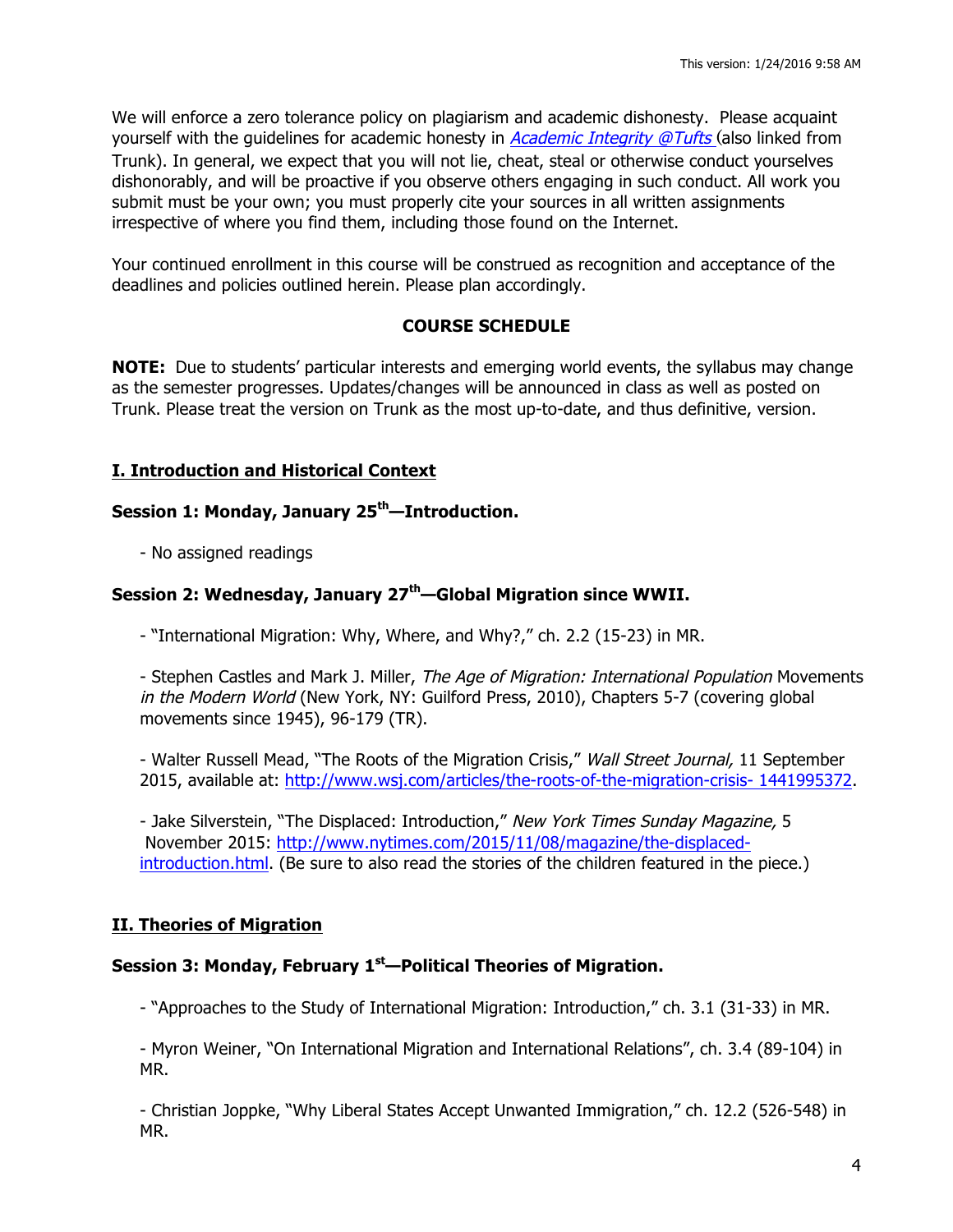We will enforce a zero tolerance policy on plagiarism and academic dishonesty. Please acquaint yourself with the guidelines for academic honesty in *Academic Integrity @Tufts* (also linked from Trunk). In general, we expect that you will not lie, cheat, steal or otherwise conduct yourselves dishonorably, and will be proactive if you observe others engaging in such conduct. All work you submit must be your own; you must properly cite your sources in all written assignments irrespective of where you find them, including those found on the Internet.

Your continued enrollment in this course will be construed as recognition and acceptance of the deadlines and policies outlined herein. Please plan accordingly.

# **COURSE SCHEDULE**

**NOTE:** Due to students' particular interests and emerging world events, the syllabus may change as the semester progresses. Updates/changes will be announced in class as well as posted on Trunk. Please treat the version on Trunk as the most up-to-date, and thus definitive, version.

## **I. Introduction and Historical Context**

# **Session 1: Monday, January 25th—Introduction.**

- No assigned readings

# **Session 2: Wednesday, January 27th—Global Migration since WWII.**

- "International Migration: Why, Where, and Why?," ch. 2.2 (15-23) in MR.

- Stephen Castles and Mark J. Miller, *The Age of Migration: International Population* Movements in the Modern World (New York, NY: Guilford Press, 2010), Chapters 5-7 (covering global movements since 1945), 96-179 (TR).

- Walter Russell Mead, "The Roots of the Migration Crisis," Wall Street Journal, 11 September 2015, available at: http://www.wsj.com/articles/the-roots-of-the-migration-crisis- 1441995372.

- Jake Silverstein, "The Displaced: Introduction," New York Times Sunday Magazine, 5 November 2015: http://www.nytimes.com/2015/11/08/magazine/the-displacedintroduction.html. (Be sure to also read the stories of the children featured in the piece.)

## **II. Theories of Migration**

## **Session 3: Monday, February 1st—Political Theories of Migration.**

- "Approaches to the Study of International Migration: Introduction," ch. 3.1 (31-33) in MR.

- Myron Weiner, "On International Migration and International Relations", ch. 3.4 (89-104) in MR.

- Christian Joppke, "Why Liberal States Accept Unwanted Immigration," ch. 12.2 (526-548) in MR.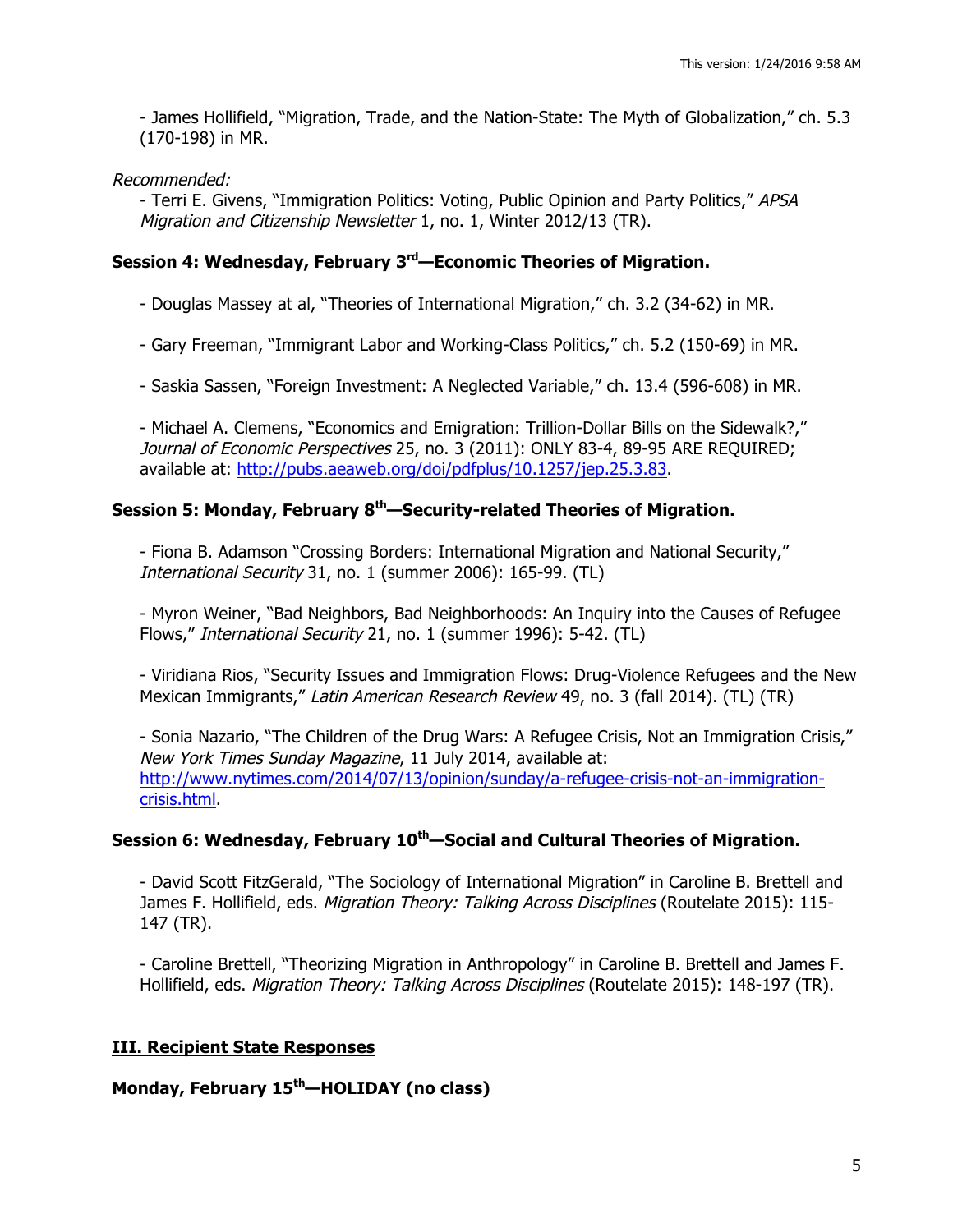- James Hollifield, "Migration, Trade, and the Nation-State: The Myth of Globalization," ch. 5.3 (170-198) in MR.

Recommended:

- Terri E. Givens, "Immigration Politics: Voting, Public Opinion and Party Politics," APSA Migration and Citizenship Newsletter 1, no. 1, Winter 2012/13 (TR).

# **Session 4: Wednesday, February 3rd—Economic Theories of Migration.**

- Douglas Massey at al, "Theories of International Migration," ch. 3.2 (34-62) in MR.

- Gary Freeman, "Immigrant Labor and Working-Class Politics," ch. 5.2 (150-69) in MR.

- Saskia Sassen, "Foreign Investment: A Neglected Variable," ch. 13.4 (596-608) in MR.

- Michael A. Clemens, "Economics and Emigration: Trillion-Dollar Bills on the Sidewalk?," Journal of Economic Perspectives 25, no. 3 (2011): ONLY 83-4, 89-95 ARE REQUIRED; available at: http://pubs.aeaweb.org/doi/pdfplus/10.1257/jep.25.3.83.

# **Session 5: Monday, February 8th—Security-related Theories of Migration.**

- Fiona B. Adamson "Crossing Borders: International Migration and National Security," International Security 31, no. 1 (summer 2006): 165-99. (TL)

- Myron Weiner, "Bad Neighbors, Bad Neighborhoods: An Inquiry into the Causes of Refugee Flows," International Security 21, no. 1 (summer 1996): 5-42. (TL)

- Viridiana Rios, "Security Issues and Immigration Flows: Drug-Violence Refugees and the New Mexican Immigrants," Latin American Research Review 49, no. 3 (fall 2014). (TL) (TR)

- Sonia Nazario, "The Children of the Drug Wars: A Refugee Crisis, Not an Immigration Crisis," New York Times Sunday Magazine, 11 July 2014, available at: http://www.nytimes.com/2014/07/13/opinion/sunday/a-refugee-crisis-not-an-immigrationcrisis.html.

## **Session 6: Wednesday, February 10th—Social and Cultural Theories of Migration.**

- David Scott FitzGerald, "The Sociology of International Migration" in Caroline B. Brettell and James F. Hollifield, eds. Migration Theory: Talking Across Disciplines (Routelate 2015): 115-147 (TR).

- Caroline Brettell, "Theorizing Migration in Anthropology" in Caroline B. Brettell and James F. Hollifield, eds. Migration Theory: Talking Across Disciplines (Routelate 2015): 148-197 (TR).

# **III. Recipient State Responses**

## **Monday, February 15th—HOLIDAY (no class)**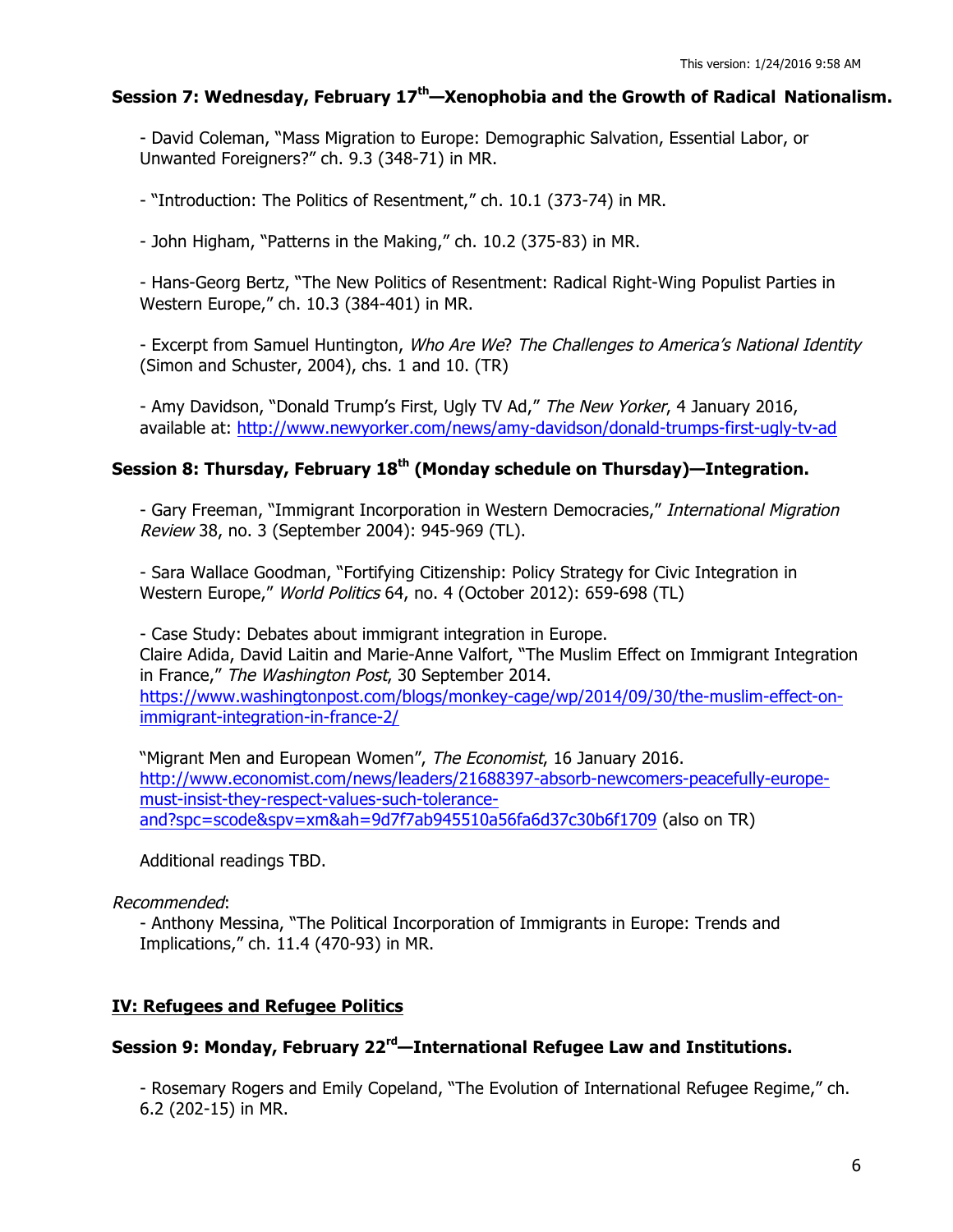### **Session 7: Wednesday, February 17th—Xenophobia and the Growth of Radical Nationalism.**

- David Coleman, "Mass Migration to Europe: Demographic Salvation, Essential Labor, or Unwanted Foreigners?" ch. 9.3 (348-71) in MR.

- "Introduction: The Politics of Resentment," ch. 10.1 (373-74) in MR.

- John Higham, "Patterns in the Making," ch. 10.2 (375-83) in MR.

- Hans-Georg Bertz, "The New Politics of Resentment: Radical Right-Wing Populist Parties in Western Europe," ch. 10.3 (384-401) in MR.

- Excerpt from Samuel Huntington, Who Are We? The Challenges to America's National Identity (Simon and Schuster, 2004), chs. 1 and 10. (TR)

- Amy Davidson, "Donald Trump's First, Ugly TV Ad," The New Yorker, 4 January 2016, available at: http://www.newyorker.com/news/amy-davidson/donald-trumps-first-ugly-tv-ad

# **Session 8: Thursday, February 18th (Monday schedule on Thursday)—Integration.**

- Gary Freeman, "Immigrant Incorporation in Western Democracies," International Migration Review 38, no. 3 (September 2004): 945-969 (TL).

- Sara Wallace Goodman, "Fortifying Citizenship: Policy Strategy for Civic Integration in Western Europe," World Politics 64, no. 4 (October 2012): 659-698 (TL)

- Case Study: Debates about immigrant integration in Europe. Claire Adida, David Laitin and Marie-Anne Valfort, "The Muslim Effect on Immigrant Integration in France," The Washington Post, 30 September 2014. https://www.washingtonpost.com/blogs/monkey-cage/wp/2014/09/30/the-muslim-effect-onimmigrant-integration-in-france-2/

"Migrant Men and European Women", The Economist, 16 January 2016. http://www.economist.com/news/leaders/21688397-absorb-newcomers-peacefully-europemust-insist-they-respect-values-such-toleranceand?spc=scode&spv=xm&ah=9d7f7ab945510a56fa6d37c30b6f1709 (also on TR)

Additional readings TBD.

Recommended:

- Anthony Messina, "The Political Incorporation of Immigrants in Europe: Trends and Implications," ch. 11.4 (470-93) in MR.

## **IV: Refugees and Refugee Politics**

# **Session 9: Monday, February 22rd—International Refugee Law and Institutions.**

- Rosemary Rogers and Emily Copeland, "The Evolution of International Refugee Regime," ch. 6.2 (202-15) in MR.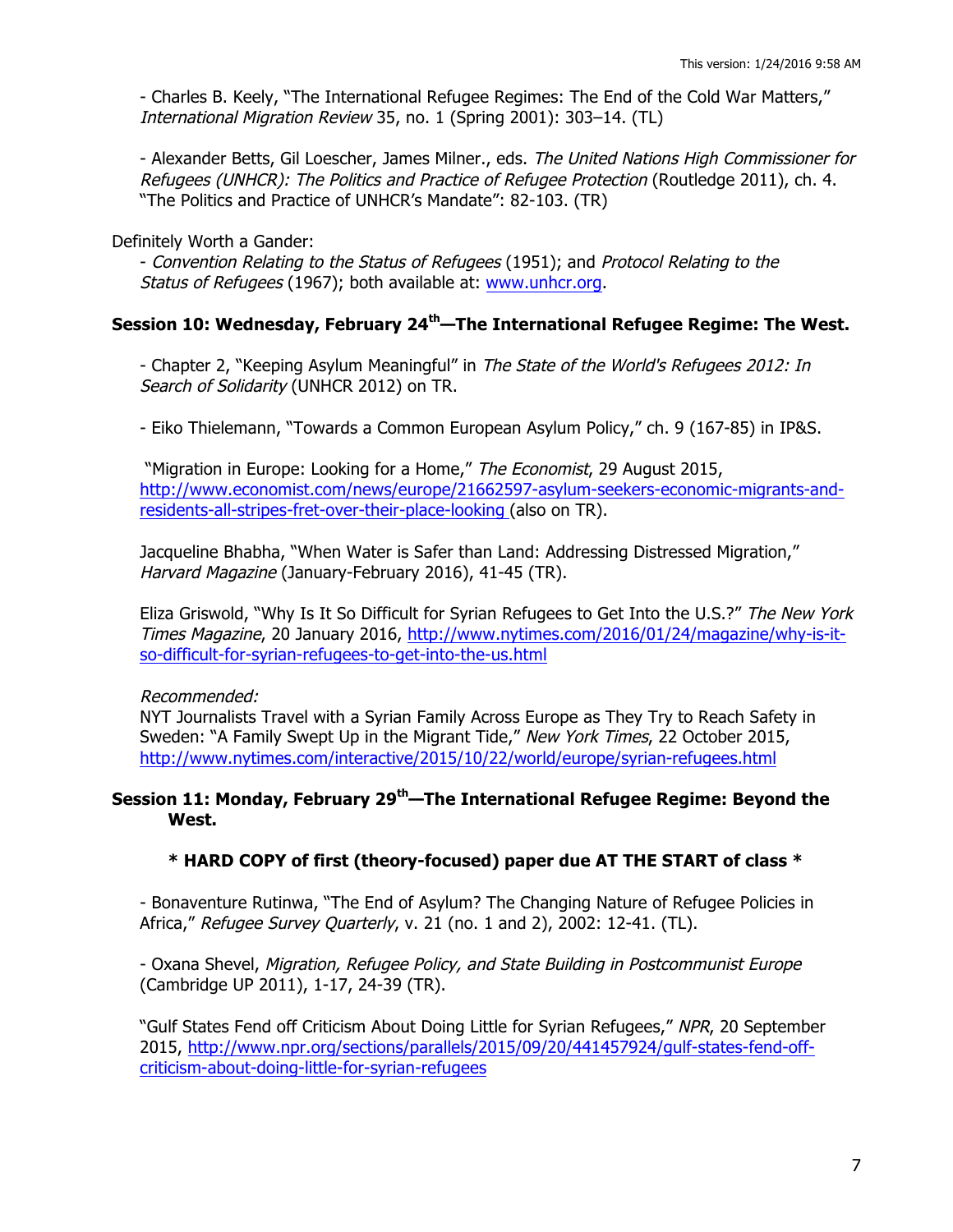- Charles B. Keely, "The International Refugee Regimes: The End of the Cold War Matters," International Migration Review 35, no. 1 (Spring 2001): 303–14. (TL)

- Alexander Betts, Gil Loescher, James Milner., eds. The United Nations High Commissioner for Refugees (UNHCR): The Politics and Practice of Refugee Protection (Routledge 2011), ch. 4. "The Politics and Practice of UNHCR's Mandate": 82-103. (TR)

### Definitely Worth a Gander:

- Convention Relating to the Status of Refugees (1951); and Protocol Relating to the Status of Refugees (1967); both available at: www.unhcr.org.

# **Session 10: Wednesday, February 24th—The International Refugee Regime: The West.**

- Chapter 2, "Keeping Asylum Meaningful" in The State of the World's Refugees 2012: In Search of Solidarity (UNHCR 2012) on TR.

- Eiko Thielemann, "Towards a Common European Asylum Policy," ch. 9 (167-85) in IP&S.

"Migration in Europe: Looking for a Home," The Economist, 29 August 2015, http://www.economist.com/news/europe/21662597-asylum-seekers-economic-migrants-andresidents-all-stripes-fret-over-their-place-looking (also on TR).

Jacqueline Bhabha, "When Water is Safer than Land: Addressing Distressed Migration," Harvard Magazine (January-February 2016), 41-45 (TR).

Eliza Griswold, "Why Is It So Difficult for Syrian Refugees to Get Into the U.S.?" The New York Times Magazine, 20 January 2016, http://www.nytimes.com/2016/01/24/magazine/why-is-itso-difficult-for-syrian-refugees-to-get-into-the-us.html

#### Recommended:

NYT Journalists Travel with a Syrian Family Across Europe as They Try to Reach Safety in Sweden: "A Family Swept Up in the Migrant Tide," New York Times, 22 October 2015, http://www.nytimes.com/interactive/2015/10/22/world/europe/syrian-refugees.html

### **Session 11: Monday, February 29th—The International Refugee Regime: Beyond the West.**

### **\* HARD COPY of first (theory-focused) paper due AT THE START of class \***

- Bonaventure Rutinwa, "The End of Asylum? The Changing Nature of Refugee Policies in Africa," Refugee Survey Quarterly, v. 21 (no. 1 and 2), 2002: 12-41. (TL).

- Oxana Shevel, Migration, Refugee Policy, and State Building in Postcommunist Europe (Cambridge UP 2011), 1-17, 24-39 (TR).

"Gulf States Fend off Criticism About Doing Little for Syrian Refugees," NPR, 20 September 2015, http://www.npr.org/sections/parallels/2015/09/20/441457924/gulf-states-fend-offcriticism-about-doing-little-for-syrian-refugees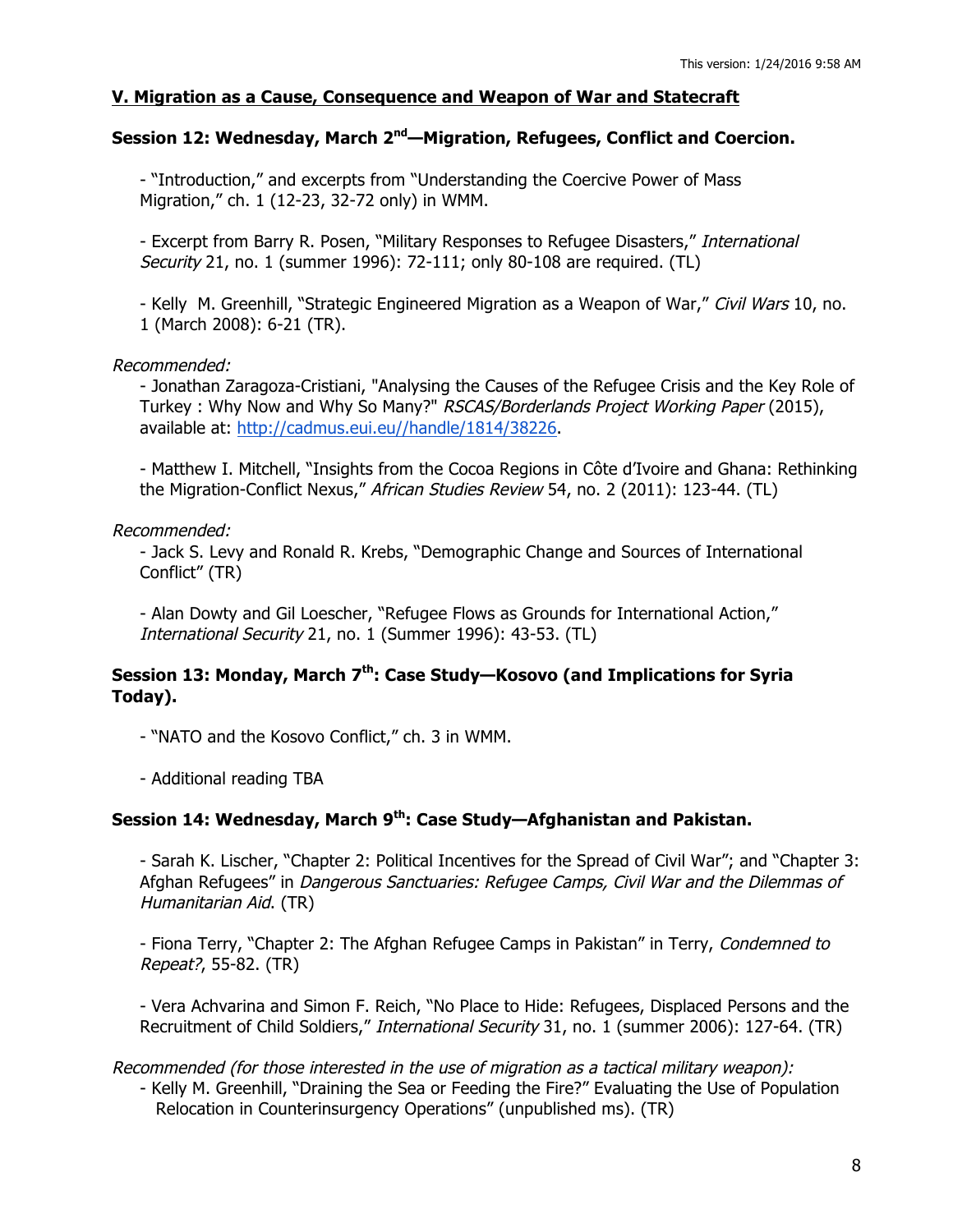## **V. Migration as a Cause, Consequence and Weapon of War and Statecraft**

# **Session 12: Wednesday, March 2nd—Migration, Refugees, Conflict and Coercion.**

- "Introduction," and excerpts from "Understanding the Coercive Power of Mass Migration," ch. 1 (12-23, 32-72 only) in WMM.

- Excerpt from Barry R. Posen, "Military Responses to Refugee Disasters," International Security 21, no. 1 (summer 1996): 72-111; only 80-108 are required. (TL)

- Kelly M. Greenhill, "Strategic Engineered Migration as a Weapon of War," Civil Wars 10, no. 1 (March 2008): 6-21 (TR).

### Recommended:

- Jonathan Zaragoza-Cristiani, "Analysing the Causes of the Refugee Crisis and the Key Role of Turkey: Why Now and Why So Many?" RSCAS/Borderlands Project Working Paper (2015), available at: http://cadmus.eui.eu//handle/1814/38226.

- Matthew I. Mitchell, "Insights from the Cocoa Regions in Côte d'Ivoire and Ghana: Rethinking the Migration-Conflict Nexus," African Studies Review 54, no. 2 (2011): 123-44. (TL)

### Recommended:

- Jack S. Levy and Ronald R. Krebs, "Demographic Change and Sources of International Conflict" (TR)

- Alan Dowty and Gil Loescher, "Refugee Flows as Grounds for International Action," International Security 21, no. 1 (Summer 1996): 43-53. (TL)

# **Session 13: Monday, March 7th: Case Study—Kosovo (and Implications for Syria Today).**

- "NATO and the Kosovo Conflict," ch. 3 in WMM.

- Additional reading TBA

## **Session 14: Wednesday, March 9th: Case Study—Afghanistan and Pakistan.**

- Sarah K. Lischer, "Chapter 2: Political Incentives for the Spread of Civil War"; and "Chapter 3: Afghan Refugees" in Dangerous Sanctuaries: Refugee Camps, Civil War and the Dilemmas of Humanitarian Aid. (TR)

- Fiona Terry, "Chapter 2: The Afghan Refugee Camps in Pakistan" in Terry, Condemned to Repeat?, 55-82. (TR)

- Vera Achvarina and Simon F. Reich, "No Place to Hide: Refugees, Displaced Persons and the Recruitment of Child Soldiers," International Security 31, no. 1 (summer 2006): 127-64. (TR)

#### Recommended (for those interested in the use of migration as a tactical military weapon):

- Kelly M. Greenhill, "Draining the Sea or Feeding the Fire?" Evaluating the Use of Population Relocation in Counterinsurgency Operations" (unpublished ms). (TR)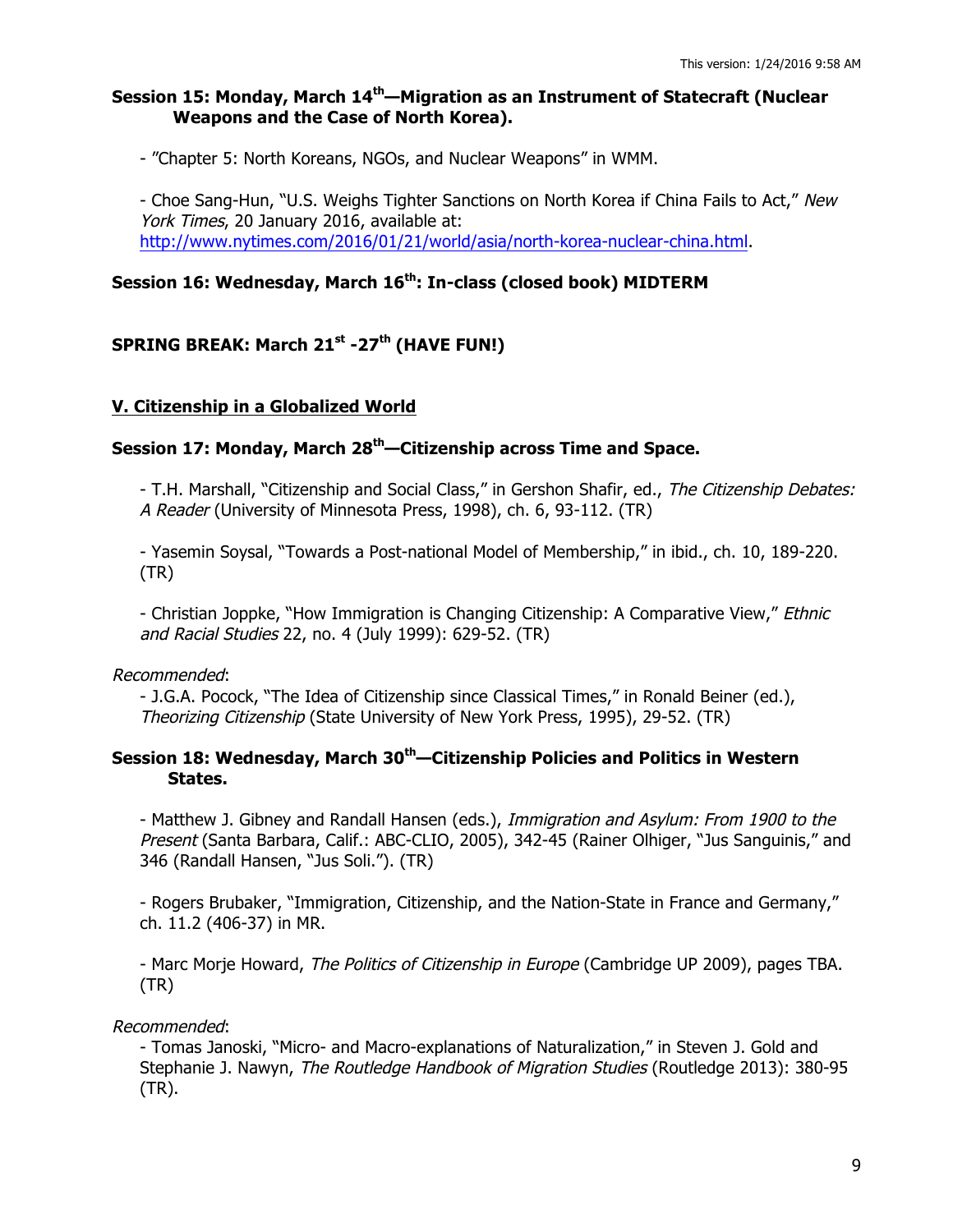### **Session 15: Monday, March 14th—Migration as an Instrument of Statecraft (Nuclear Weapons and the Case of North Korea).**

- "Chapter 5: North Koreans, NGOs, and Nuclear Weapons" in WMM.

- Choe Sang-Hun, "U.S. Weighs Tighter Sanctions on North Korea if China Fails to Act," New York Times, 20 January 2016, available at: http://www.nytimes.com/2016/01/21/world/asia/north-korea-nuclear-china.html.

# **Session 16: Wednesday, March 16th: In-class (closed book) MIDTERM**

# **SPRING BREAK: March 21st -27th (HAVE FUN!)**

### **V. Citizenship in a Globalized World**

# **Session 17: Monday, March 28th—Citizenship across Time and Space.**

- T.H. Marshall, "Citizenship and Social Class," in Gershon Shafir, ed., The Citizenship Debates: A Reader (University of Minnesota Press, 1998), ch. 6, 93-112. (TR)

- Yasemin Soysal, "Towards a Post-national Model of Membership," in ibid., ch. 10, 189-220. (TR)

- Christian Joppke, "How Immigration is Changing Citizenship: A Comparative View," *Ethnic* and Racial Studies 22, no. 4 (July 1999): 629-52. (TR)

### Recommended:

- J.G.A. Pocock, "The Idea of Citizenship since Classical Times," in Ronald Beiner (ed.), Theorizing Citizenship (State University of New York Press, 1995), 29-52. (TR)

## **Session 18: Wednesday, March 30th—Citizenship Policies and Politics in Western States.**

- Matthew J. Gibney and Randall Hansen (eds.), Immigration and Asylum: From 1900 to the Present (Santa Barbara, Calif.: ABC-CLIO, 2005), 342-45 (Rainer Olhiger, "Jus Sanguinis," and 346 (Randall Hansen, "Jus Soli."). (TR)

- Rogers Brubaker, "Immigration, Citizenship, and the Nation-State in France and Germany," ch. 11.2 (406-37) in MR.

- Marc Morje Howard, The Politics of Citizenship in Europe (Cambridge UP 2009), pages TBA. (TR)

### Recommended:

- Tomas Janoski, "Micro- and Macro-explanations of Naturalization," in Steven J. Gold and Stephanie J. Nawyn, The Routledge Handbook of Migration Studies (Routledge 2013): 380-95 (TR).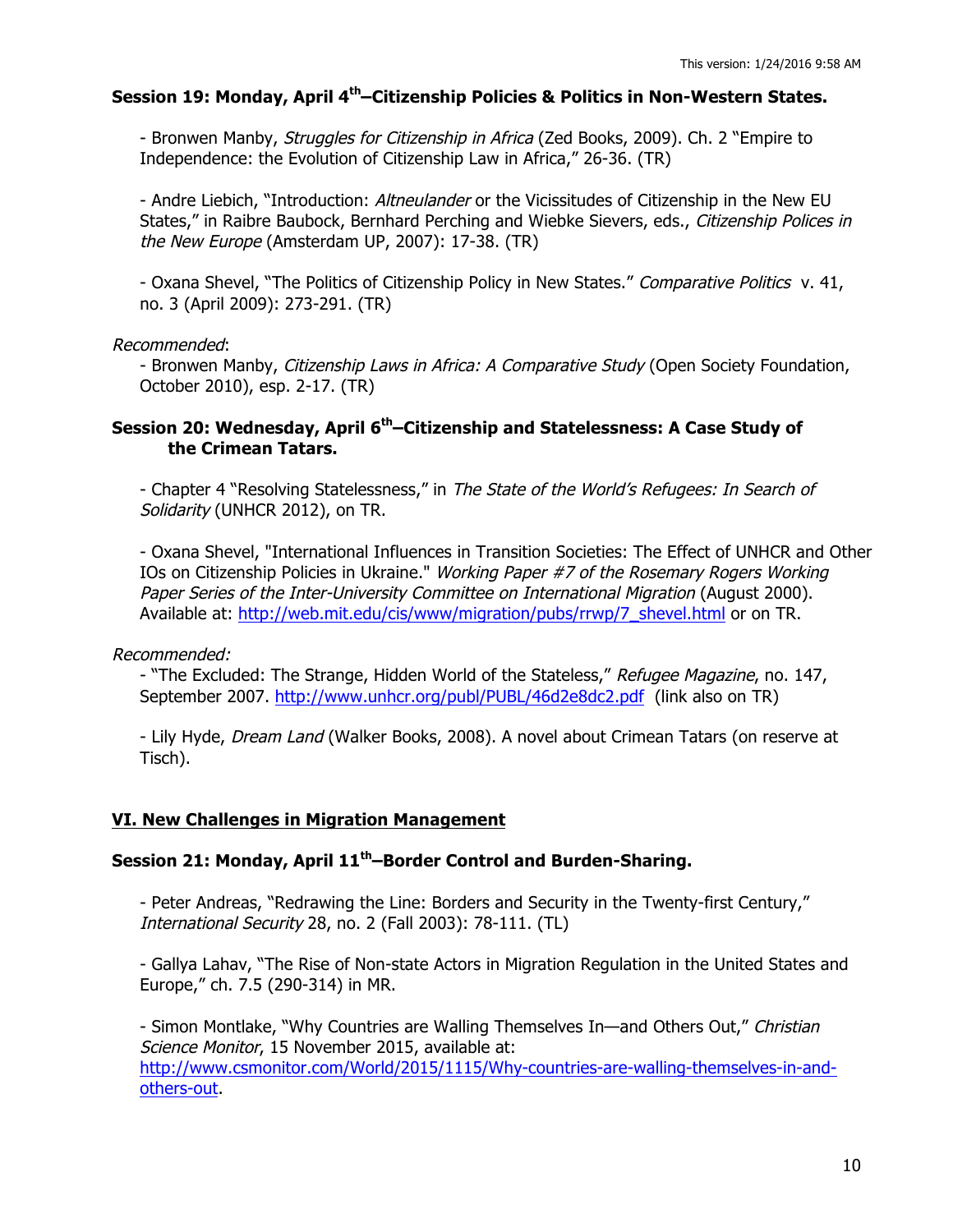### **Session 19: Monday, April 4th–Citizenship Policies & Politics in Non-Western States.**

- Bronwen Manby, *Struggles for Citizenship in Africa* (Zed Books, 2009). Ch. 2 "Empire to Independence: the Evolution of Citizenship Law in Africa," 26-36. (TR)

- Andre Liebich, "Introduction: *Altneulander* or the Vicissitudes of Citizenship in the New EU States," in Raibre Baubock, Bernhard Perching and Wiebke Sievers, eds., Citizenship Polices in the New Europe (Amsterdam UP, 2007): 17-38. (TR)

- Oxana Shevel, "The Politics of Citizenship Policy in New States." Comparative Politics v. 41, no. 3 (April 2009): 273-291. (TR)

### Recommended:

- Bronwen Manby, Citizenship Laws in Africa: A Comparative Study (Open Society Foundation, October 2010), esp. 2-17. (TR)

### **Session 20: Wednesday, April 6th–Citizenship and Statelessness: A Case Study of the Crimean Tatars.**

- Chapter 4 "Resolving Statelessness," in The State of the World's Refugees: In Search of Solidarity (UNHCR 2012), on TR.

- Oxana Shevel, "International Influences in Transition Societies: The Effect of UNHCR and Other IOs on Citizenship Policies in Ukraine." Working Paper #7 of the Rosemary Rogers Working Paper Series of the Inter-University Committee on International Migration (August 2000). Available at: http://web.mit.edu/cis/www/migration/pubs/rrwp/7\_shevel.html or on TR.

Recommended:

- "The Excluded: The Strange, Hidden World of the Stateless," Refugee Magazine, no. 147, September 2007. http://www.unhcr.org/publ/PUBL/46d2e8dc2.pdf (link also on TR)

- Lily Hyde, Dream Land (Walker Books, 2008). A novel about Crimean Tatars (on reserve at Tisch).

### **VI. New Challenges in Migration Management**

### **Session 21: Monday, April 11th–Border Control and Burden-Sharing.**

- Peter Andreas, "Redrawing the Line: Borders and Security in the Twenty-first Century," International Security 28, no. 2 (Fall 2003): 78-111. (TL)

- Gallya Lahav, "The Rise of Non-state Actors in Migration Regulation in the United States and Europe," ch. 7.5 (290-314) in MR.

- Simon Montlake, "Why Countries are Walling Themselves In—and Others Out," Christian Science Monitor, 15 November 2015, available at: http://www.csmonitor.com/World/2015/1115/Why-countries-are-walling-themselves-in-andothers-out.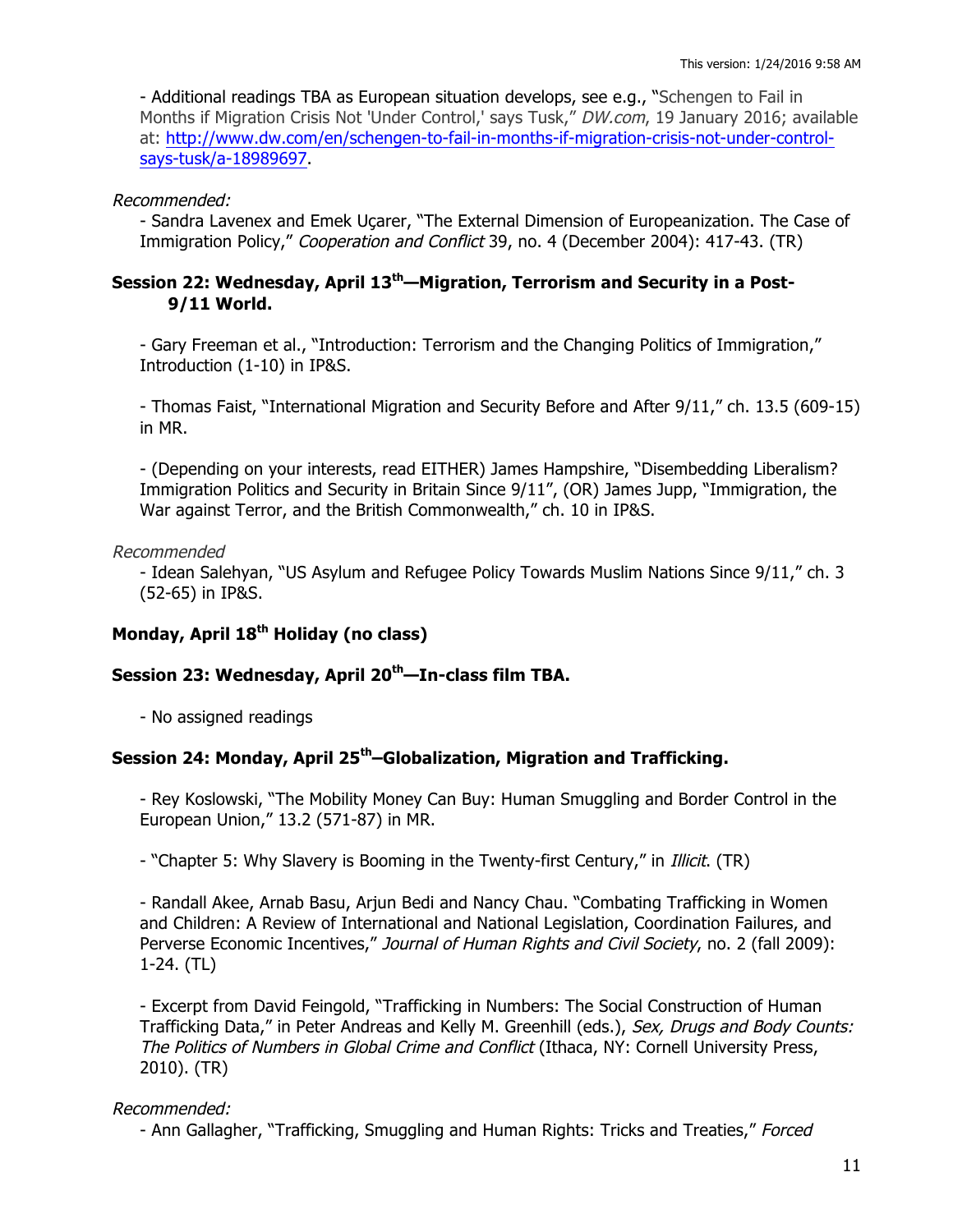- Additional readings TBA as European situation develops, see e.g., "Schengen to Fail in Months if Migration Crisis Not 'Under Control,' says Tusk," DW.com, 19 January 2016; available at: http://www.dw.com/en/schengen-to-fail-in-months-if-migration-crisis-not-under-controlsays-tusk/a-18989697.

### Recommended:

- Sandra Lavenex and Emek Uçarer, "The External Dimension of Europeanization. The Case of Immigration Policy," Cooperation and Conflict 39, no. 4 (December 2004): 417-43. (TR)

# **Session 22: Wednesday, April 13th—Migration, Terrorism and Security in a Post-9/11 World.**

- Gary Freeman et al., "Introduction: Terrorism and the Changing Politics of Immigration," Introduction (1-10) in IP&S.

- Thomas Faist, "International Migration and Security Before and After 9/11," ch. 13.5 (609-15) in MR.

- (Depending on your interests, read EITHER) James Hampshire, "Disembedding Liberalism? Immigration Politics and Security in Britain Since 9/11", (OR) James Jupp, "Immigration, the War against Terror, and the British Commonwealth," ch. 10 in IP&S.

## Recommended

- Idean Salehyan, "US Asylum and Refugee Policy Towards Muslim Nations Since 9/11," ch. 3 (52-65) in IP&S.

# **Monday, April 18th Holiday (no class)**

# **Session 23: Wednesday, April 20th—In-class film TBA.**

- No assigned readings

## **Session 24: Monday, April 25th–Globalization, Migration and Trafficking.**

- Rey Koslowski, "The Mobility Money Can Buy: Human Smuggling and Border Control in the European Union," 13.2 (571-87) in MR.

- "Chapter 5: Why Slavery is Booming in the Twenty-first Century," in *Illicit*. (TR)

- Randall Akee, Arnab Basu, Arjun Bedi and Nancy Chau. "Combating Trafficking in Women and Children: A Review of International and National Legislation, Coordination Failures, and Perverse Economic Incentives," Journal of Human Rights and Civil Society, no. 2 (fall 2009): 1-24. (TL)

- Excerpt from David Feingold, "Trafficking in Numbers: The Social Construction of Human Trafficking Data," in Peter Andreas and Kelly M. Greenhill (eds.), Sex, Drugs and Body Counts: The Politics of Numbers in Global Crime and Conflict (Ithaca, NY: Cornell University Press, 2010). (TR)

## Recommended:

- Ann Gallagher, "Trafficking, Smuggling and Human Rights: Tricks and Treaties," Forced